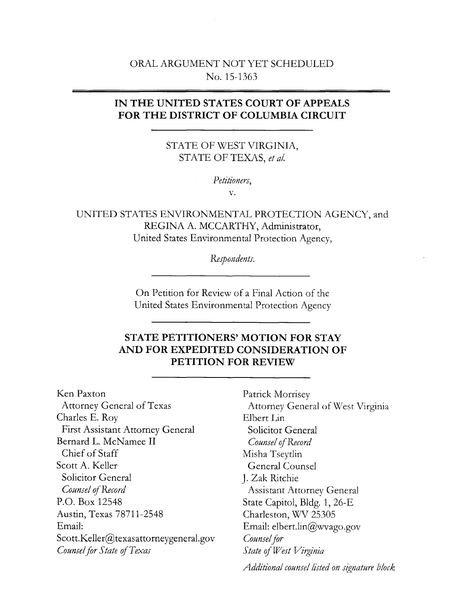# ORAL ARGUMENT NOT YET SCHEDULED No. 15-1363

# **IN THE UNITED STATES COURT OF APPEALS FOR THE DISTRICT OF COLUMBIA CIRCUIT**

STATE OF WEST VIRGINIA, STATE OF TEXAS, *eta!.* 

*Petitioners,* 

v.

UNITED STATES ENVIRONMENTAL PROTECTION AGENCY, and REGINA A. MCCARTHY, Administrator, United States Environmental Protection Agency,

*Respondents.* 

On Petition for Review of a Final Action of the United States Environmental Protection Agency

# **STATE PETITIONERS' MOTION FOR STAY AND FOR EXPEDITED CONSIDERATION OF PETITION FOR REVIEW**

Ken Paxton Attorney General of Texas Charles E. Roy First Assistant Attorney General Bernard L. McNamee II Chief of Staff Scott A. Keller Solicitor General *Counsel q'Record*  P.O. Box 12548 Austin, Texas 78711-2548 Email: Scott.Keller@texasattorneygeneral.gov *Counsel for State* of *Texas* 

Patrick Morrisey Attorney General of West Virginia Elbert Lin Solicitor General *Counsel* of *Record*  Misha Tseytlin General Counsel J. Zak Ritchie Assistant Attorney General State Capitol, Bldg. 1, 26-E Charleston, WV 25305 Email: elbert.lin@wvago.gov *Counsel for State* of *West Virginia* 

*Additional counsel listed on signature block*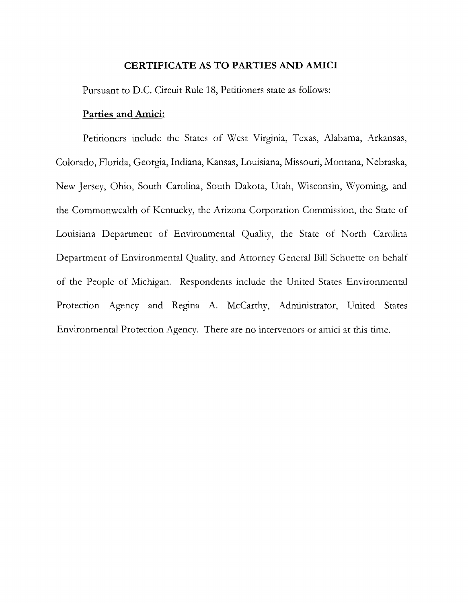#### **CERTIFICATE AS TO PARTIES AND AMICI**

Pursuant to D.C. Circuit Rule 18, Petitioners state as follows:

#### **Parties and Amici:**

Petitioners include the States of West Virginia, Texas, Alabama, Arkansas, Colorado, Florida, Georgia, Indiana, Kansas, Louisiana, Missouri, Montana, Nebraska, New Jersey, Ohio, South Carolina, South Dakota, Utah, Wisconsin, \Vyoming, arid the Commonwealth of Kentucky, the Arizona Corporation Commission, the State of Louisiana Department of Environmental Quality, the State of North Carolina Department of Environmental Quality, and Attorney General Bill Schuette on behalf of the People of Michigan. Respondents include the United States Environmental Protection Agency and Regina A. McCarthy, Administrator, United States Environmental Protection Agency. There are no intervenors or amici at this time.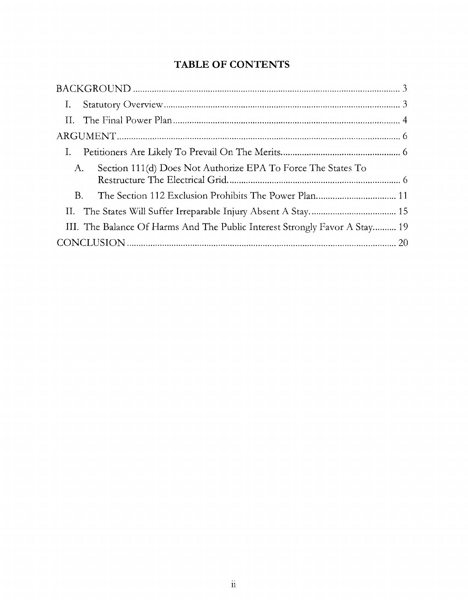# **TABLE OF CONTENTS**

| Ι.                                                                         |
|----------------------------------------------------------------------------|
|                                                                            |
|                                                                            |
|                                                                            |
| Section 111(d) Does Not Authorize EPA To Force The States To<br>A.         |
| B.                                                                         |
|                                                                            |
| III. The Balance Of Harms And The Public Interest Strongly Favor A Stay 19 |
|                                                                            |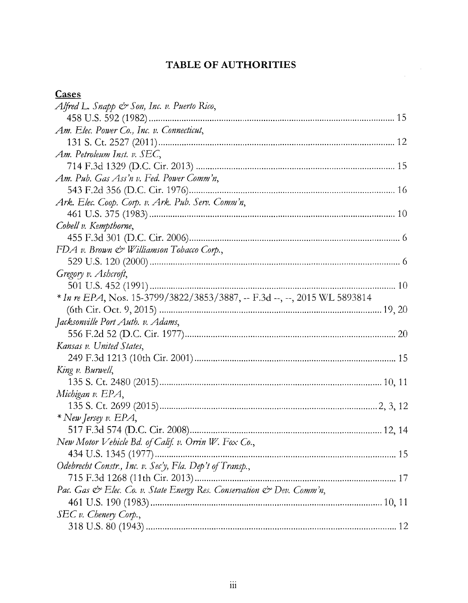# TABLE OF AUTHORITIES

 $\label{eq:2.1} \frac{1}{\sqrt{2\pi}}\int_{0}^{\infty}\frac{1}{\sqrt{2\pi}}\left(\frac{1}{\sqrt{2\pi}}\right)^{2}d\mu.$ 

# $\frac{Cases}{100}$

| <u>Cases</u>                                                              |
|---------------------------------------------------------------------------|
| Alfred L. Snapp & Son, Inc. v. Puerto Rico,                               |
|                                                                           |
| Am. Elec. Power Co., Inc. v. Connecticut,                                 |
|                                                                           |
| Am. Petroleum Inst. v. SEC,                                               |
|                                                                           |
| Am. Pub. Gas Ass'n v. Fed. Power Comm'n,                                  |
|                                                                           |
| Ark. Elec. Coop. Corp. v. Ark. Pub. Serv. Comm'n,                         |
|                                                                           |
| Cobell v. Kempthorne,                                                     |
|                                                                           |
| FDA v. Brown & Williamson Tobacco Corp.,                                  |
|                                                                           |
| Gregory v. Ashcroft,                                                      |
|                                                                           |
| * In re EPA, Nos. 15-3799/3822/3853/3887, -- F.3d --, --, 2015 WL 5893814 |
|                                                                           |
| Jacksonville Port Auth. v. Adams,                                         |
|                                                                           |
| Kansas v. United States,                                                  |
|                                                                           |
| King v. Burwell,                                                          |
|                                                                           |
| Michigan v. EPA,                                                          |
|                                                                           |
| * New Jersey v. EPA,                                                      |
|                                                                           |
| New Motor Vehicle Bd. of Calif. v. Orrin W. Fox Co.,                      |
| 434 U.S. 1345 (1977)                                                      |
| Odebrecht Constr., Inc. v. Sec'y, Fla. Dep't of Transp.,                  |
|                                                                           |
| Pac. Gas & Elec. Co. v. State Energy Res. Conservation & Dev. Comm'n,     |
|                                                                           |
| SEC v. Chenery Corp.,                                                     |
|                                                                           |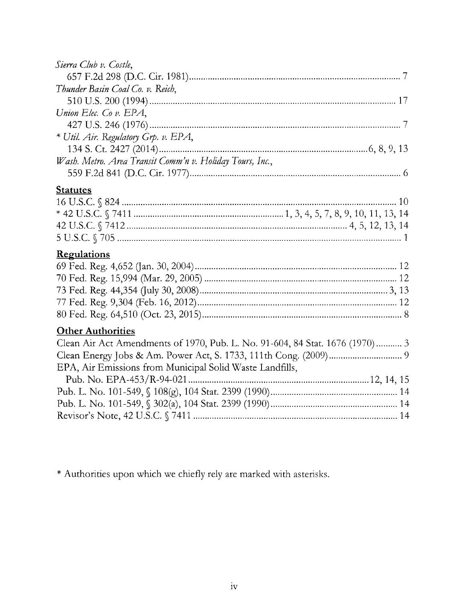| Sierra Club v. Costle,                                                       |
|------------------------------------------------------------------------------|
|                                                                              |
| Thunder Basin Coal Co. v. Reich,                                             |
|                                                                              |
| Union Elec. Co v. EPA,                                                       |
|                                                                              |
| * Util. Air. Regulatory Grp. v. EPA,                                         |
|                                                                              |
| Wash. Metro. Area Transit Comm'n v. Holiday Tours, Inc.,                     |
|                                                                              |
| <b>Statutes</b>                                                              |
|                                                                              |
|                                                                              |
|                                                                              |
|                                                                              |
| <b>Regulations</b>                                                           |
|                                                                              |
|                                                                              |
|                                                                              |
|                                                                              |
|                                                                              |
| <b>Other Authorities</b>                                                     |
| Clean Air Act Amendments of 1970, Pub. L. No. 91-604, 84 Stat. 1676 (1970) 3 |
|                                                                              |
| EPA, Air Emissions from Municipal Solid Waste Landfills,                     |
|                                                                              |
|                                                                              |
|                                                                              |
|                                                                              |
|                                                                              |

\* Authorities upon which we chiefly rely are marked with asterisks.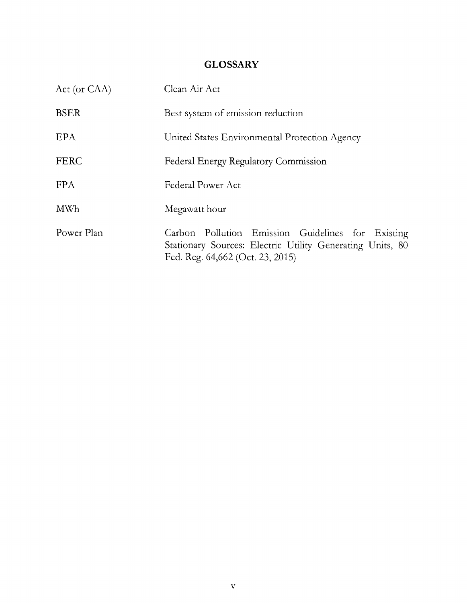# **GLOSSARY**

| Act (or CAA) | Clean Air Act                                                                                                                                      |
|--------------|----------------------------------------------------------------------------------------------------------------------------------------------------|
| <b>BSER</b>  | Best system of emission reduction                                                                                                                  |
| EPA          | United States Environmental Protection Agency                                                                                                      |
| <b>FERC</b>  | Federal Energy Regulatory Commission                                                                                                               |
| <b>FPA</b>   | Federal Power Act                                                                                                                                  |
| <b>MWh</b>   | Megawatt hour                                                                                                                                      |
| Power Plan   | Carbon Pollution Emission Guidelines for Existing<br>Stationary Sources: Electric Utility Generating Units, 80<br>Fed. Reg. 64,662 (Oct. 23, 2015) |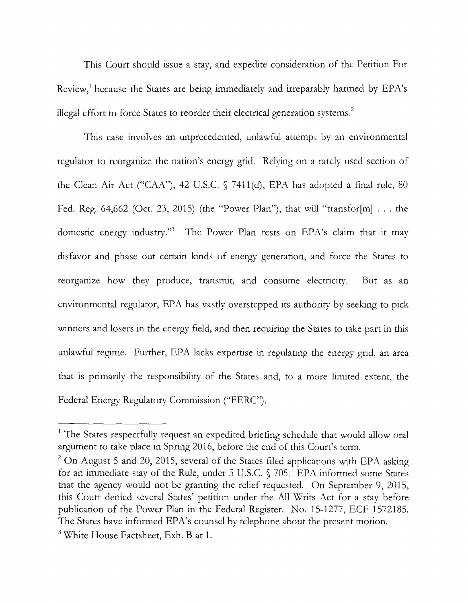This Court should issue a stay, and expedite consideration of the Petition For Review,<sup>1</sup> because the States are being immediately and irreparably harmed by EPA's illegal effort to force States to reorder their electrical generation systems.<sup>2</sup>

This case involves an unprecedented, unlawful attempt by an environmental regulator to reorganize the nation's energy grid. Relying on a rarely used section of the Clean Air Act ("CAA"), 42 U.S.C.  $\sqrt{}$  7411(d), EPA has adopted a final rule, 80 Fed. Reg. 64,662 (Oct. 23, 2015) (the "Power Plan"), that will "transfor[m] ... the domestic energy industry."3 The Power Plan rests on EPA's claim that it may disfavor and phase out certain kinds of energy generation, and force the States to reorganize how they produce, transmit, and consume electricity. But as an environmental regulator, EPA has vastly overstepped its authority by seeking to pick winners and losers in the energy field, and then requiring the States to take part in this unlawful regime. Further, EPA lacks expertise in regulating the energy grid, an area that is primarily the responsibility of the States and, to a more limited extent, the Federal Energy Regulatory Commission ("PERC").

<sup>&</sup>lt;sup>1</sup> The States respectfully request an expedited briefing schedule that would allow oral argument to take place in Spring 2016, before the end of this Court's term.

 $2$  On August 5 and 20, 2015, several of the States filed applications with EPA asking for an immediate stay of the Rule, under 5 U.S.C. § 705. EPA informed some States that the agency would not be granting the relief requested. On September 9, 2015, this Court denied several States' petition under the All Writs Act for a stay before publication of the Power Plan in the Federal Register. No. 15-1277, ECF 1572185. The States have informed EPA's counsel by telephone about the present motion. <sup>3</sup> White House Factsheet, Exh. B at 1.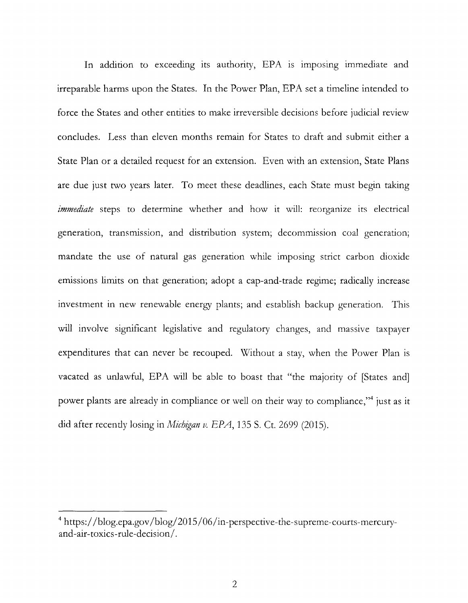In addition to exceeding its authority, EPA is imposing immediate and irreparable harms upon the States. In the Power Plan, EPA set a timeline intended to force the States and other entities to make irreversible decisions before judicial review concludes. Less than eleven months remain for States to draft and submit either a State Plan or a detailed request for an extension. Even with an extension, State Plans are due just two years later. To meet these deadlines, each State must begin taking *immediate* steps to determine whether and how it will: reorganize its electrical generation, transmission, and distribution system; decommission coal generation; mandate the use of natural gas generation while imposing strict carbon dioxide emissions limits on that generation; adopt a cap-and-trade regime; radically increase investment in new renewable energy plants; and establish backup generation. This will involve significant legislative and regulatory changes, and massive taxpayer expenditures that can never be recouped. Without a stay, when the Power Plan is vacated as unlawful, EPA will be able to boast that "the majority of [States and] power plants are already in compliance or well on their way to compliance,"4 just as it did after recently losing in *Michigan v. EPA*, 135 S. Ct. 2699 (2015).

<sup>&</sup>lt;sup>4</sup> https://blog.epa.gov/blog/2015/06/in-perspective-the-supreme-courts-mercuryand-air-toxics-rule-decision/.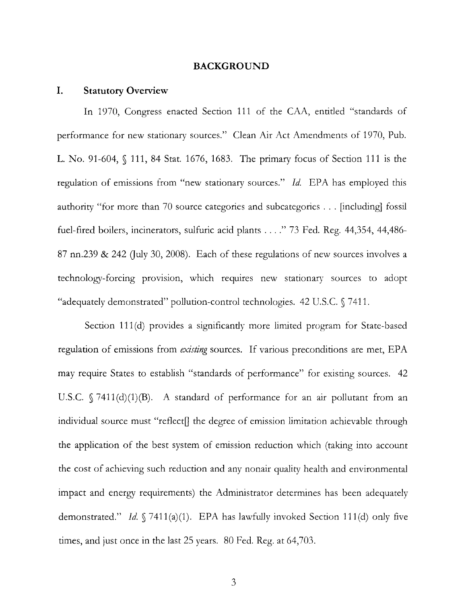#### **BACKGROUND**

#### **I. Statutory Overview**

In 1970, Congress enacted Section 111 of the CAA, entitled "standards of performance for new stationary sources." Clean Air Act Amendments of 1970, Pub. L. No. 91-604, § 111, 84 Stat. 1676, 1683. The primary focus of Section 111 is the regulation of emissions from "new stationary sources." Id. EPA has employed this authority "for more than 70 source categories and subcategories ... [including] fossil fuel-fired boilers, incinerators, sulfuric acid plants .... " 73 Fed. Reg. 44,354, 44,486- 87 nn.239  $\&$  242 (July 30, 2008). Each of these regulations of new sources involves a technology-forcing provision, which requires new stationary sources to adopt "adequately demonstrated" pollution-control technologies. 42 U.S.C. § 7411.

Section 111(d) provides a significantly more limited program for State-based regulation of emissions from *existing* sources. If various preconditions are met, EPA may require States to establish "standards of performance" for existing sources. 42 U.S.C.  $\sqrt{7411(d)(1)(B)}$ . A standard of performance for an air pollutant from an individual source must "reflect<sup>[]</sup> the degree of emission limitation achievable through the application of the best system of emission reduction which (taking into account the cost of achieving such reduction and any nonair quality health and environmental impact and energy requirements) the Administrator determines has been adequately demonstrated." *Id.* § 7411(a)(1). EPA has lawfully invoked Section 111(d) only five times, and just once in the last 25 years. 80 Fed. Reg. at 64,703.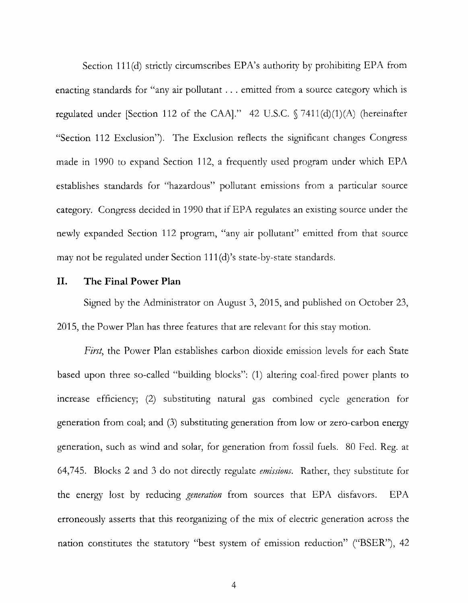Section 111(d) strictly circumscribes EPA's authority by prohibiting EPA from enacting standards for "any air pollutant ... emitted from a source category which is regulated under [Section 112 of the CAA]." 42 U.S.C.  $\sqrt{7411(d)(1)(A)}$  (hereinafter "Section 112 Exclusion"). The Exclusion reflects the significant changes Congress made in 1990 to expand Section 112, a frequently used program under which EPA establishes standards for "hazardous" pollutant emissions from a particular source category. Congress decided in 1990 that if EPA regulates an existing source under the newly expanded Section 112 program, "any air pollutant" emitted from that source may not be regulated under Section 111(d)'s state-by-state standards.

#### **II. The Final Power Plan**

Signed by the Administrator on August 3, 2015, and published on October 23, 2015, the Power Plan has three features that are relevant for this stay motion.

*First,* the Power Plan establishes carbon dioxide emission levels for each State based upon three so-called "building blocks": (1) altering coal-fired power plants to increase efficiency; (2) substituting natural gas combined cycle generation for generation from coal; and (3) substituting generation from low or zero-carbon energy generation, such as wind and solar, for generation from fossil fuels. 80 Fed. Reg. at 64,745. Blocks 2 and 3 do not directly regulate *emissions.* Rather, they substitute for the energy lost by reducing *generation* from sources that EPA disfavors. EPA erroneously asserts that this reorganizing of the mix of electric generation across the nation constitutes the statutory "best system of emission reduction" ("BSER"), 42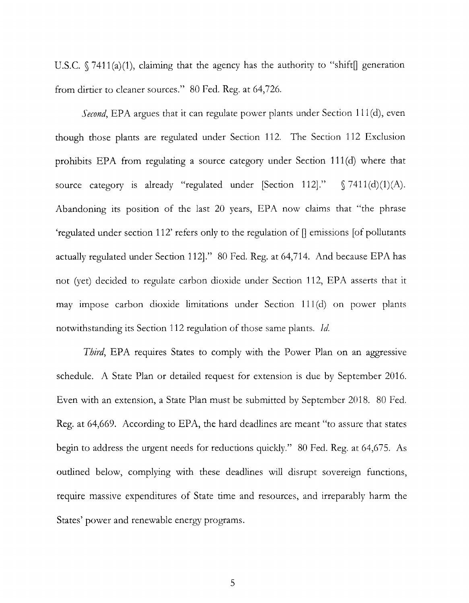U.S.C.  $\sqrt{7411(a)(1)}$ , claiming that the agency has the authority to "shift" generation from dirtier to cleaner sources." 80 Fed. Reg. at 64,726.

*Second*, EPA argues that it can regulate power plants under Section 111(d), even though those plants are regulated under Section 112. The Section 112 Exclusion prohibits EPA from regulating a source category under Section 111(d) where that source category is already "regulated under [Section 112]."  $\S$  7411(d)(1)(A). Abandoning its position of the last 20 years, EPA now claims that "the phrase 'regulated under section 112' refers only to the regulation of  $\parallel$  emissions [of pollutants actually regulated under Section 112]." 80 Fed. Reg. at 64,714. And because EPA has not (yet) decided to regulate carbon dioxide under Section 112, EPA asserts that it may impose carbon dioxide limitations under Section 111 (d) on power plants notwithstanding its Section 112 regulation of those same plants. *!d.* 

*Third*, EPA requires States to comply with the Power Plan on an aggressive schedule. A State Plan or detailed request for extension is due by September 2016. Even with an extension, a State Plan must be submitted by September 2018. 80 Fed. Reg. at 64,669. According to EPA, the hard deadlines are meant "to assure that states begin to address the urgent needs for reductions quickly." 80 Fed. Reg. at 64,675. As outlined below, complying with these deadlines will disrupt sovereign functions, require massive expenditures of State time and resources, and irreparably harm the States' power and renewable energy programs.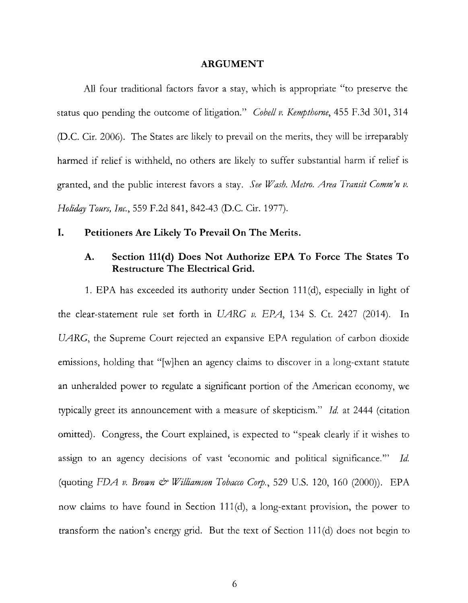#### **ARGUMENT**

All four traditional factors favor a stay, which is appropriate "to preserve the status quo pending the outcome of litigation." *Cobell v. Kempthorne,* 455 F.3d 301, 314 (D.C. Cir. 2006). The States are likely to prevail on the merits, they will be irreparably harmed if relief is withheld, no others are likely to suffer substantial harm if relief is granted, and the public interest favors a stay. *See Wash. Metro. Area Transit Comm'n v. Ho/idqy Tours, Inc.,* 559 F.2d 841, 842-43 (D.C. Cir. 1977).

#### **I. Petitioners Are Likely To Prevail On The Merits.**

## **A. Section 111(d) Does Not Authorize EPA To Force The States To Restructure The Electrical Grid.**

1. EPA has exceeded its authority under Section 111 (d), especially in light of the clear-statement rule set forth in UARG *v*. EPA, 134 S. Ct. 2427 (2014). In UARG, the Supreme Court rejected an expansive EPA regulation of carbon dioxide emissions, holding that "[w]hen an agency claims to discover in a long-extant statute an unheralded power to regulate a significant portion of the American economy, we typically greet its announcement with a measure of skepticism." *Id.* at 2444 (citation omitted). Congress, the Court explained, is expected to "speak clearly if it wishes to assign to an agency decisions of vast 'economic and political significance."' *Id.*  (quoting *FDA v. Brown & Williamson Tobacco Corp.*, 529 U.S. 120, 160 (2000)). EPA now claims to have found in Section 111(d), a long-extant provision, the power to transform the nation's energy grid. But the text of Section 111 (d) does not begin to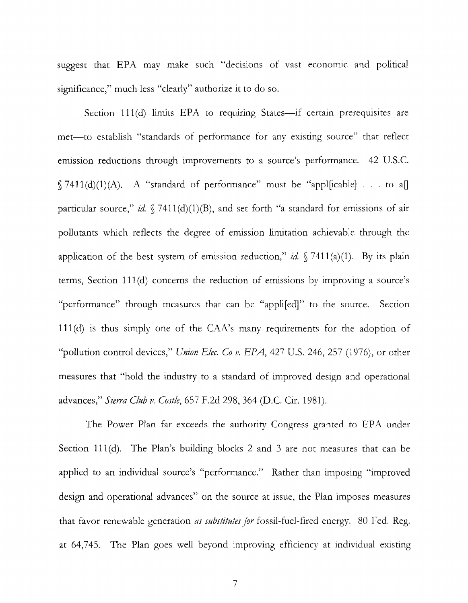suggest that EPA may make such "decisions of vast economic and political significance," much less "clearly" authorize it to do so.

Section 111(d) limits EPA to requiring States-if certain prerequisites are met—to establish "standards of performance for any existing source" that reflect emission reductions through improvements to a source's performance. 42 U.S.C.  $§ 7411(d)(1)(A)$ . A "standard of performance" must be "appl[icable] . . . to a[] particular source," *id.*  $\sqrt{7411(d)(1)(B)}$ , and set forth "a standard for emissions of air pollutants which reflects the degree of emission limitation achievable through the application of the best system of emission reduction," *id.*  $\sqrt{7411(a)(1)}$ . By its plain terms, Section 111 (d) concerns the reduction of emissions by improving a source's "performance" through measures that can be "appli[ed]" to the source. Section 111(d) is thus simply one of the CAA's many requirements for the adoption of "pollution control devices," *Union Elec. Co v. EPA,* 427 U.S. 246, 257 (1976), or other measures that "hold the industry to a standard of improved design and operational advances," *Sierra Club v. Costle,* 657 F.2d 298, 364 (D.C. Cir. 1981).

The Power Plan far exceeds the authority Congress granted to EPA under Section 111(d). The Plan's building blocks 2 and 3 are not measures that can be applied to an individual source's "performance." Rather than imposing "improved design and operational advances" on the source at issue, the Plan imposes measures that favor renewable generation *as substitutes for* fossil-fuel-fired energy. 80 Fed. Reg. at 64,745. The Plan goes well beyond improving efficiency at individual existing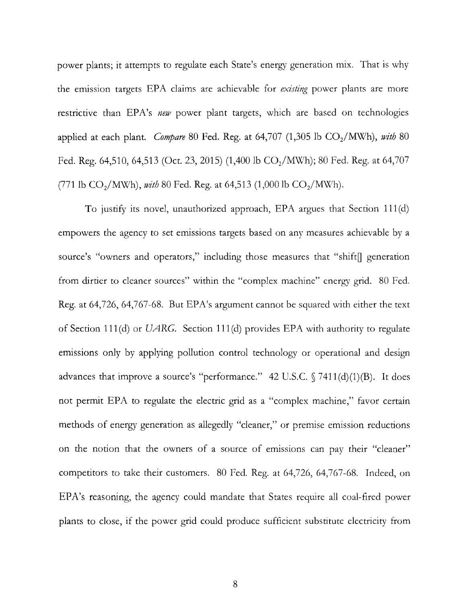power plants; it attempts to regulate each State's energy generation mix. That is why the emission targets EPA claims are achievable for *existing* power plants are more restrictive than EPA's *new* power plant targets, which are based on technologies applied at each plant. *Compare* 80 Fed. Reg. at  $64,707$   $(1,305 \text{ lb } CO_2/\text{MWh})$ , *with* 80 Fed. Reg. 64,510, 64,513 (Oct. 23, 2015) (1,400 lb  $CO<sub>2</sub>/MWh$ ); 80 Fed. Reg. at 64,707 (771 lb  $CO_2/$ MWh), *with* 80 Fed. Reg. at 64,513 (1,000 lb  $CO_2/$ MWh).

To justify its novel, unauthorized approach, EPA argues that Section 111 (d) empowers the agency to set emissions targets based on any measures achievable by a source's "owners and operators," including those measures that "shift" generation from dirtier to cleaner sources" within the "complex machine" energy grid. 80 Fed. Reg. at 64,726, 64,767-68. But EPA's argument cannot be squared with either the text of Section 111 (d) or UARG. Section 111 (d) provides EPA with authority to regulate emissions only by applying pollution control technology or operational and design advances that improve a source's "performance." 42 U.S.C.  $\sqrt{7411(d)(1)(B)}$ . It does not permit EPA to regulate the electric grid as a "complex machine," favor certain methods of energy generation as allegedly "cleaner," or premise emission reductions on the notion that the owners of a source of emissions can pay their "cleaner" competitors to take their customers. 80 Fed. Reg. at 64,726, 64,767-68. Indeed, on EPA's reasoning, the agency could mandate that States require all coal-fired power plants to close, if the power grid could produce sufficient substitute electricity from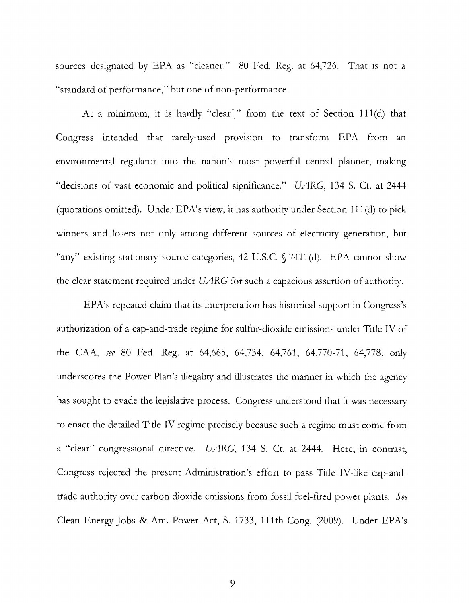sources designated by EPA as "cleaner." 80 Fed. Reg. at 64,726. That is not a "standard of performance," but one of non-performance.

At a minimum, it is hardly "clear<sup>"</sup> from the text of Section 111(d) that Congress intended that rarely-used provision to transform EPA from an environmental regulator into the nation's most powerful central planner, making "decisions of vast economic and political significance." UARG, 134 S. Ct. at 2444 (quotations omitted). Under EPA's view, it has authority under Section 111 (d) to pick winners and losers not only among different sources of electricity generation, but "any" existing stationary source categories, 42 U.S.C. § 7411(d). EPA cannot show the clear statement required under  $U\text{ARG}$  for such a capacious assertion of authority.

EPA's repeated claim that its interpretation has historical support in Congress's authorization of a cap-and-trade regime for sulfur-dioxide emissions under Title IV of the CAA, *see* 80 Fed. Reg. at 64,665, 64,734, 64,761, 64,770-71, 64,778, only underscores the Power Plan's illegality and illustrates the manner in which the agency has sought to evade the legislative process. Congress understood that it was necessary to enact the detailed Title IV regime precisely because such a regime must come from a "clear" congressional directive. UARG, 134 S. Ct. at 2444. Here, in contrast, Congress rejected the present Administration's effort to pass Title IV-like cap-andtrade authority over carbon dioxide emissions from fossil fuel-fired power plants. *See*  Clean Energy Jobs & Am. Power Act, S. 1733, 111th Cong. (2009). Under EPA's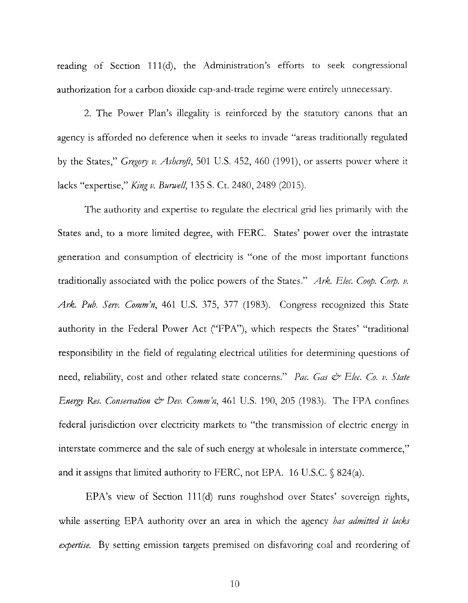reading of Section 111(d), the Administration's efforts to seek congressional authorization for a carbon dioxide cap-and-trade regime were entirely unnecessary.

2. The Power Plan's illegality is reinforced by the statutory canons that an agency is afforded no deference when it seeks to invade "areas traditionally regulated by the States," *Gregory v. Ashcrrift,* 501 U.S. 452, 460 (1991), or asserts power where it lacks "expertise," *King v. Bunveff,* 135 S. Ct. 2480, 2489 (2015).

The authority and expertise to regulate the electrical grid lies primarily with the States and, to a more limited degree, with FERC. States' power over the intrastate generation and consumption of electricity is "one of the most important functions traditionally associated with the police powers of the States." *Ark. Efec. Coop. Corp. v. Ark. Pub. Serv. Comm'n,* 461 U.S. 375, 377 (1983). Congress recognized this State authority in the Federal Power Act ("FPA"), which respects the States' "traditional responsibility in the field of regulating electrical utilities for determining questions of need, reliability, cost and other related state concerns." Pac. Gas & Elec. Co. v. State *Energy Res. Conservation*  $\mathcal{E}$  *Dev. Comm'n,* 461 U.S. 190, 205 (1983). The FPA confines federal jurisdiction over electricity markets to "the transmission of electric energy in interstate commerce and the sale of such energy at wholesale in interstate commerce," and it assigns that limited authority to FERC, not EPA. 16 U.S.C.  $\$824(a)$ .

EPA's view of Section 111(d) runs roughshod over States' sovereign rights, while asserting EPA authority over an area in which the agency *has admitted it lacks expertise.* By setting emission targets premised on disfavoring coal and reordering of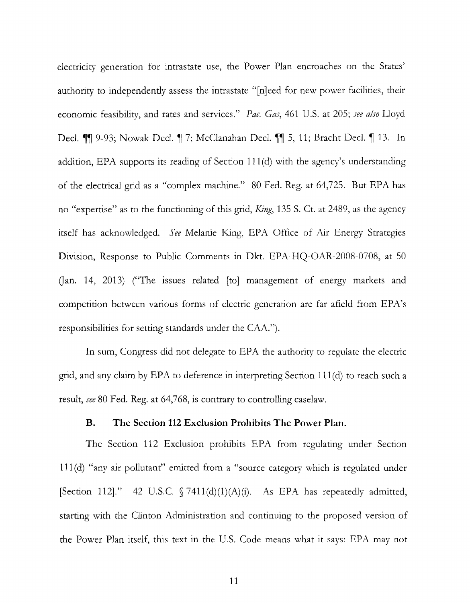electricity generation for intrastate use, the Power Plan encroaches on the States' authority to independently assess the intrastate "[n]eed for new power facilities, their economic feasibility, and rates and services." *Pac. Gas,* 461 U.S. at 205; *see also* Lloyd Decl.  $\blacksquare$  9-93; Nowak Decl.  $\blacksquare$  7; McClanahan Decl.  $\blacksquare$  5, 11; Bracht Decl.  $\blacksquare$  13. In addition, EPA supports its reading of Section 111 (d) with the agency's understanding of the electrical grid as a "complex machine." 80 Fed. Reg. at 64,725. But EPA has no "expertise" as to the functioning of this grid, *King,* 135 S. Ct. at 2489, as the agency itself has acknowledged. *See* Melanie King, EPA Office of Air Energy Strategies Division, Response to Public Comments in Dkt. EPA-HQ-OAR-2008-0708, at 50 Gan. 14, 2013) ("The issues related [to] management of energy markets and competition between various forms of electric generation are far afield from EPA's responsibilities for setting standards under the CAA.").

In sum, Congress did not delegate to EPA the authority to regulate the electric grid, and any claim by EPA to deference in interpreting Section 111 (d) to reach such a result, *see* 80 Fed. Reg. at 64,768, is contrary to controlling caselaw.

## **B. The Section 112 Exclusion Prohibits The Power Plan.**

The Section 112 Exclusion prohibits EPA from regulating under Section **111** (d) "any air pollutant" emitted from a "source category which is regulated under [Section 112]." 42 U.S.C.  $\int$  7411(d)(1)(A)(i). As EPA has repeatedly admitted, starting with the Clinton Administration and continuing to the proposed version of the Power Plan itself, this text in the U.S. Code means what it says: EPA may not

11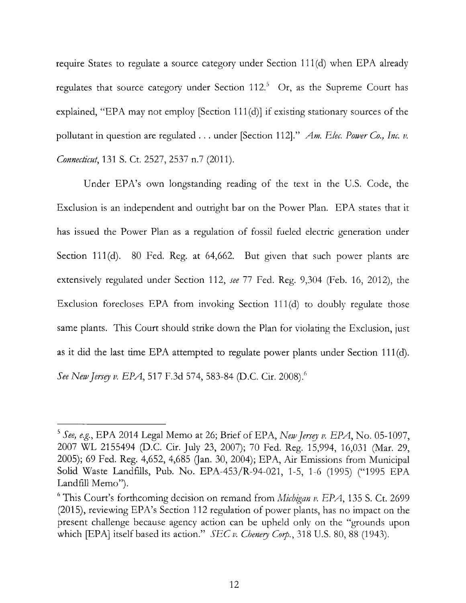require States to regulate a source category under Section 111 (d) when EPA already regulates that source category under Section  $112<sup>5</sup>$  Or, as the Supreme Court has explained, "EPA may not employ [Section 111(d)] if existing stationary sources of the pollutant in question are regulated . . . under [Section 112]." *Am. Elec. Power Co., Inc. v. Connecticut,* 131 S. Ct. 2527, 2537 n.7 (2011).

Under EPA's own longstanding reading of the text in the U.S. Code, the Exclusion is an independent and outright bar on the Power Plan. EPA states that it has issued the Power Plan as a regulation of fossil fueled electric generation under Section 111(d). 80 Fed. Reg. at 64,662. But given that such power plants are extensively regulated under Section 112, *see* 77 Fed. Reg. 9,304 (Feb. 16, 2012), the Exclusion forecloses EPA from invoking Section 111(d) to doubly regulate those same plants. This Court should strike down the Plan for violating the Exclusion, just as it did the last time EPA attempted to regulate power plants under Section 111 (d). *See New Jersey v. EPA*, 517 F.3d 574, 583-84 (D.C. Cir. 2008).

<sup>5</sup>*See) e.g.,* EPA 2014 Legal Memo at 26; Brief of EPA, *New Jersry v. EPA,* No. 05-1097, 2007 WL 2155494 (D.C. Cir. July 23, 2007); 70 Fed. Reg. 15,994, 16,031 (Mar. 29, 2005); 69 Fed. Reg. 4,652, 4,685 (Jan. 30, 2004); EPA, Air Emissions from Municipal Solid Waste Landfllls, Pub. No. EPA-453/R-94-021, 1-5, 1-6 (1995) ("1995 EPA Landfill Memo").

<sup>&</sup>lt;sup>6</sup> This Court's forthcoming decision on remand from *Michigan v. EPA*, 135 S. Ct. 2699 (2015), reviewing EPA's Section 112 regulation of power plants, has no impact on the present challenge because agency action can be upheld only on the "grounds upon which [EPA] itself based its action." *SEC v. Chenery Corp.,* 318 U.S. 80, 88 (1943).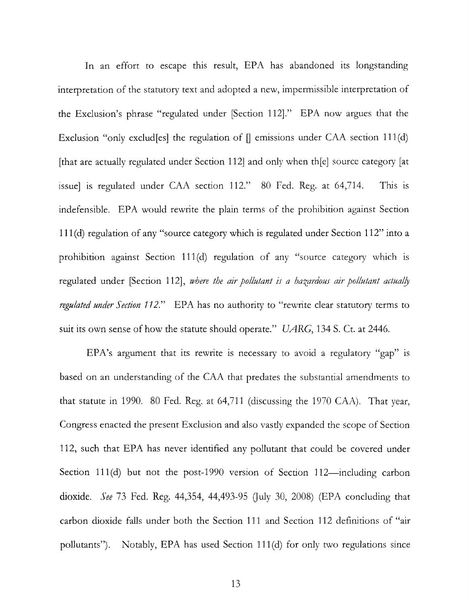In an effort to escape this result, EPA has abandoned its longstanding interpretation of the statutory text and adopted a new, impermissible interpretation of the Exclusion's phrase "regulated under [Section 112]." EPA now argues that the Exclusion "only exclud[es] the regulation of  $\parallel$  emissions under CAA section 111(d) [that are actually regulated under Section 112] and only when th[e] source category [at issue] is regulated under CAA section 112." 80 Fed. Reg. at 64,714. This is indefensible. EPA would rewrite the plain terms of the prohibition against Section 111 (d) regulation of any "source category which is regulated under Section 112" into a prohibition against Section 111(d) regulation of any "source category which is regulated under [Section 112], where the air pollutant is a hazardous air pollutant actually *regulated under Section 112."* EPA has no authority to "rewrite clear statutory terms to suit its own sense of how the statute should operate." UARG, 134 S. Ct. at 2446.

EPA's argument that its rewrite is necessary to avoid a regulatory "gap" is based on an understanding of the CAA that predates the substantial amendments to that statute in 1990. 80 Fed. Reg. at 64,711 (discussing the 1970 CAA). That year, Congress enacted the present Exclusion and also vastly expanded the scope of Section 112, such that EPA has never identified any pollutant that could be covered under Section 111 $(d)$  but not the post-1990 version of Section 112—including carbon dioxide. *See* 73 Fed. Reg. 44,354, 44,493-95 Quly 30, 2008) (EPA concluding that carbon dioxide falls under both the Section 111 and Section 112 definitions of "air pollutants"). Notably, EPA has used Section 111(d) for only two regulations since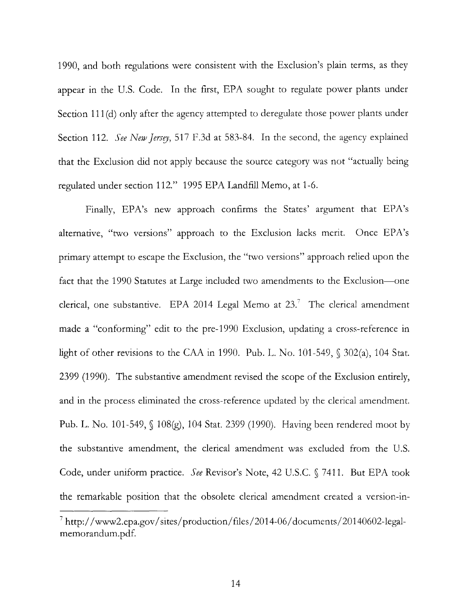1990, and both regulations were consistent with the Exclusion's plain terms, as they appear in the U.S. Code. In the first, EPA sought to regulate power plants under Section 111(d) only after the agency attempted to deregulate those power plants under Section 112. *See New Jersey*, 517 F.3d at 583-84. In the second, the agency explained that the Exclusion did not apply because the source category was not "actually being regulated under section 112." 1995 EPA Landfill Memo, at 1-6.

Finally, EPA's new approach confirms the States' argument that EPA's alternative, "two versions" approach to the Exclusion lacks merit. Once EPA's primary attempt to escape the Exclusion, the "two versions" approach relied upon the fact that the 1990 Statutes at Large included two amendments to the Exclusion-one clerical, one substantive. EPA 2014 Legal Memo at  $23.^7$  The clerical amendment made a "conforming" edit to the pre-1990 Exclusion, updating a cross-reference in light of other revisions to the CAA in 1990. Pub. L. No. 101-549,  $\sqrt{302(a)}$ , 104 Stat. 2399 (1990). The substantive amendment revised the scope of the Exclusion entirely, and in the process eliminated the cross-reference updated by the clerical amendment. Pub. L. No. 101-549, § 108(g), 104 Stat. 2399 (1990). Having been rendered moot by the substantive amendment, the clerical amendment was excluded from the U.S. Code, under uniform practice. *See* Revisor's Note, 42 U.S.C. § 7411. But EPA took the remarkable position that the obsolete clerical amendment created a version-in-

 $7$  http://www2.epa.gov/sites/production/files/2014-06/documents/20140602-legalmemorandum.pdf.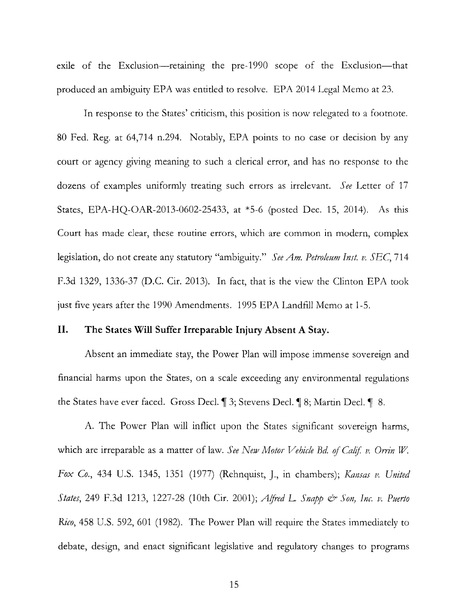exile of the Exclusion-retaining the pre-1990 scope of the Exclusion-that produced an ambiguity EPA was entitled to resolve. EPA 2014 Legal Memo at 23.

In response to the States' criticism, this position is now relegated to a footnote. 80 Fed. Reg. at 64,714 n.294. Notably, EPA points to no case or decision by any court or agency giving meaning to such a clerical error, and has no response to the dozens of examples uniformly treating such errors as irrelevant. *See* Letter of 17 States, EPA-HQ-OAR-2013-0602-25433, at \*5-6 (posted Dec. 15, 2014). As this Court has made clear, these routine errors, which are common in modern, complex legislation, do not create any statutory "ambiguity." *See Am. Petroleum Inst. v. SEC,* 714 F.3d 1329, 1336-37 (D.C. Cir. 2013). In fact, that is the view the Clinton EPA took just five years after the 1990 Amendments. 1995 EPA Landfill Memo at 1-5.

# **II. The States Will Suffer Irreparable Injury Absent A Stay.**

Absent an immediate stay, the Power Plan will impose immense sovereign and financial harms upon the States, on a scale exceeding any environmental regulations the States have ever faced. Gross Decl. **1** 3; Stevens Decl. **1** 8; Martin Decl. **1** 8.

A. The Power Plan will inflict upon the States significant sovereign harms, which are irreparable as a matter of law. See New Motor Vehicle Bd. of Calif. v. Orrin W. *Fox Co.,* 434 U.S. 1345, 1351 (1977) (Rehnquist, J., in chambers); *Kansas v. United States,* 249 F.3d 1213, 1227-28 (10th Cir. 2001); *A!fred* L *Snapp* & *Son) Inc.* v. *Puerto Rico,* 458 U.S. 592, 601 (1982). The Power Plan will require the States immediately to debate, design, and enact significant legislative and regulatory changes to programs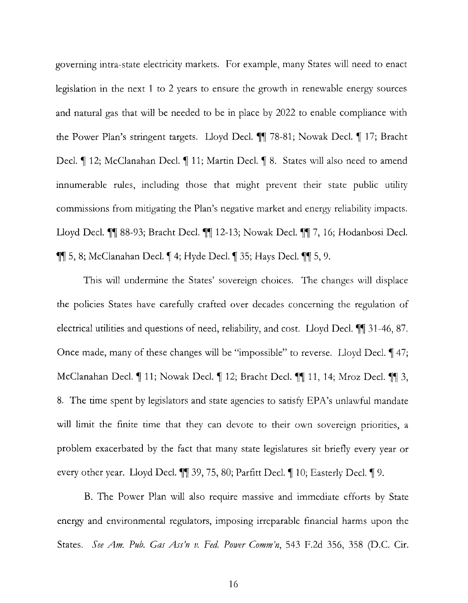governing intra-state electricity markets. For example, many States will need to enact legislation in the next 1 to 2 years to ensure the growth in renewable energy sources and natural gas that will be needed to be in place by 2022 to enable compliance with the Power Plan's stringent targets. Lloyd Decl. **11** 78-81; Nowak Decl. 1 17; Bracht Decl. **1** 12; McClanahan Decl. **1** 11; Martin Decl. **1** 8. States will also need to amend innumerable rules, including those that might prevent their state public utility commissions from mitigating the Plan's negative market and energy reliability impacts. Lloyd Decl. **11** 88-93; Bracht Decl. **11** 12-13; Nowak Decl. **11** 7, 16; Hodanbosi Decl.  $\P\P$  5, 8; McClanahan Decl.  $\P$  4; Hyde Decl.  $\P$  35; Hays Decl.  $\P$  5, 9.

This will undermine the States' sovereign choices. The changes will displace the policies States have carefully crafted over decades concerning the regulation of electrical utilities and questions of need, reliability, and cost. Lloyd Decl.  $\P$  31-46, 87. Once made, many of these changes will be "impossible" to reverse. Lloyd Decl. 147; McClanahan Decl. **11**; Nowak Decl. **1** 12; Bracht Decl. **11** 11, 14; Mroz Decl. **11** 3, 8. The time spent by legislators and state agencies to satisfy EPA's unlawful mandate will limit the finite time that they can devote to their own sovereign priorities, a problem exacerbated by the fact that many state legislatures sit briefly every year or every other year. Lloyd Decl.  $\P$  39, 75, 80; Parfitt Decl.  $\P$  10; Easterly Decl.  $\P$  9.

B. The Power Plan will also require massive and immediate efforts by State energy and environmental regulators, imposing irreparable financial harms upon the States. *See Am. Pub. Gas Ass'n v. Fed. Power Comm'n,* 543 F.2d 356, 358 (D.C. Cir.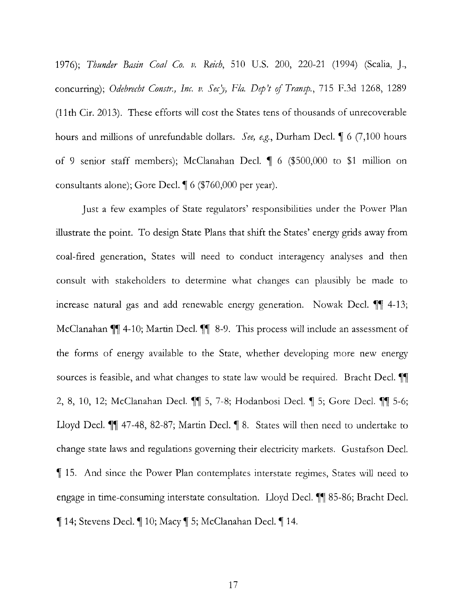1976); *Thunder Basin Coal Co. v. Reich,* 510 U.S. 200, 220-21 (1994) (Scalia, J., concurring); *Odebrecht Constr., Inc. v. Sec'y, Fla. Dep't of Transp.*, 715 F.3d 1268, 1289 **(11th** Cir. 2013). These efforts will cost the States tens of thousands of unrecoverable hours and millions of unrefundable dollars. *See, e.g.*, Durham Decl. 16 (7,100 hours of 9 senior staff members); McClanahan Decl.  $\parallel$  6 (\$500,000 to \$1 million on consultants alone); Gore Decl.  $\P$  6 (\$760,000 per year).

Just a few examples of State regulators' responsibilities under the Power Plan illustrate the point. To design State Plans that shift the States' energy grids away from coal-fired generation, States will need to conduct interagency analyses and then consult with stakeholders to determine what changes can plausibly be made to increase natural gas and add renewable energy generation. Nowak Decl.  $\P$  4-13; McClanahan  $\P$  4-10; Martin Decl.  $\P$  8-9. This process will include an assessment of the forms of energy available to the State, whether developing more new energy sources is feasible, and what changes to state law would be required. Bracht Decl.  $\P$ 2, 8, 10, 12; McClanahan Decl.  $\blacksquare$  5, 7-8; Hodanbosi Decl.  $\blacksquare$  5; Gore Decl.  $\blacksquare$  5-6; Lloyd Decl.  $\P$  47-48, 82-87; Martin Decl.  $\P$  8. States will then need to undertake to change state laws and regulations governing their electricity markets. Gustafson Decl. <sup>~</sup>15. And since the Power Plan contemplates interstate regimes, States will need to engage in time-consuming interstate consultation. Lloyd Decl.  $\parallel$  85-86; Bracht Decl.  $\P$  14; Stevens Decl.  $\P$  10; Macy  $\P$  5; McClanahan Decl.  $\P$  14.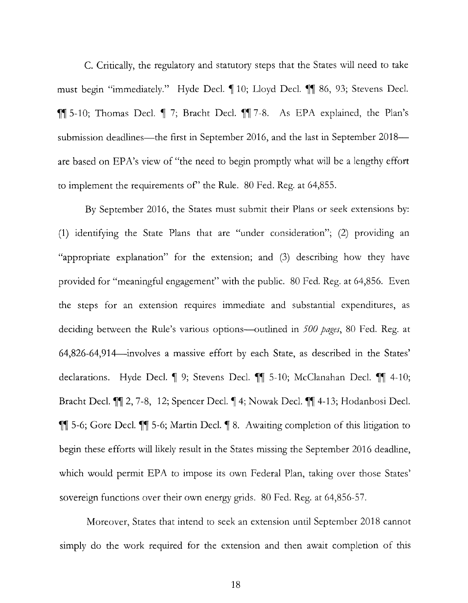C. Critically, the regulatory and statutory steps that the States will need to take must begin "immediately." Hyde Decl. 10; Lloyd Decl. 11 86, 93; Stevens Decl. ~~ 5-10; Thomas Decl. ~ 7; Bracht Decl. ~~ 7-8. As EPA explained, the Plan's submission deadlines—the first in September 2016, and the last in September 2018 are based on EPA's view of "the need to begin promptly what will be a lengthy effort to implement the requirements of' the Rule. 80 Fed. Reg. at 64,855.

By September 2016, the States must submit their Plans or seek extensions by: (1) identifying the State Plans that are "under consideration"; (2) providing an "appropriate explanation" for the extension; and (3) describing how they have provided for "meaningful engagement" with the public. 80 Fed. Reg. at 64,856. Even the steps for an extension requires immediate and substantial expenditures, as deciding between the Rule's various options-outlined in *500 pages,* 80 Fed. Reg. at 64,826-64,914--involves a massive effort by each State, as described in the States' declarations. Hyde Decl. 1 9; Stevens Decl. 11 5-10; McClanahan Decl. 11 4-10; Bracht Decl. <sup>¶</sup> 2, 7-8, 12; Spencer Decl. ¶ 4; Nowak Decl. <sup>¶</sup> 4-13; Hodanbosi Decl.  $~$  [[ 5-6; Gore Decl.  $~$  [[ 5-6; Martin Decl.  $~$  [ 8. Awaiting completion of this litigation to begin these efforts will likely result in the States missing the September 2016 deadline, which would permit EPA to impose its own Federal Plan, taking over those States' sovereign functions over their own energy grids. 80 Fed. Reg. at 64,856-57.

Moreover, States that intend to seek an extension until September 2018 cannot simply do the work required for the extension and then await completion of this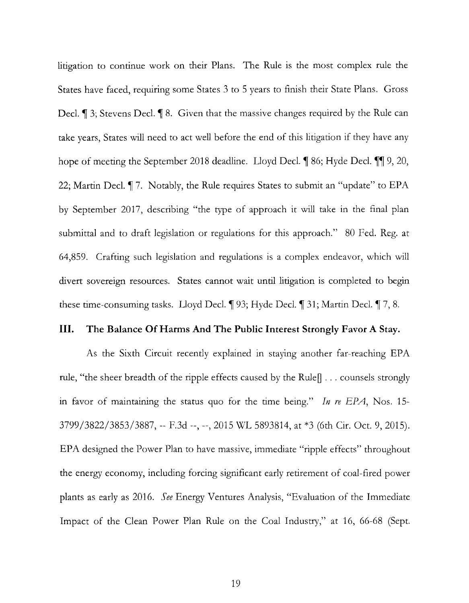litigation to continue work on their Plans. The Rule is the most complex rule the States have faced, requiring some States 3 to 5 years to finish their State Plans. Gross Decl.  $\parallel$  3; Stevens Decl.  $\parallel$  8. Given that the massive changes required by the Rule can take years, States will need to act well before the end of this litigation if they have any hope of meeting the September 2018 deadline. Lloyd Decl.  $\parallel$  86; Hyde Decl.  $\parallel$  9, 20, 22; Martin Decl.  $\P$  7. Notably, the Rule requires States to submit an "update" to EPA by September 2017, describing "the type of approach it will take in the final plan submittal and to draft legislation or regulations for this approach." 80 Fed. Reg. at 64,859. Crafting such legislation and regulations is a complex endeavor, which will divert sovereign resources. States cannot wait until litigation is completed to begin these time-consuming tasks. Lloyd Decl.  $\parallel$  93; Hyde Decl.  $\parallel$  31; Martin Decl.  $\parallel$  7, 8.

## **III. The Balance Of Harms And The Public Interest Strongly Favor A Stay.**

As the Sixth Circuit recently explained in staying another far-reaching EPA rule, "the sheer breadth of the ripple effects caused by the Rule[] . . . counsels strongly in favor of maintaining the status quo for the time being." *In re EPA,* Nos. 15- 3799/3822/3853/3887, -- F.3d --, --, 2015 WL 5893814, at \*3 (6th Cir. Oct. 9, 2015). EPA designed the Power Plan to have massive, immediate "ripple effects" throughout the energy economy, including forcing significant early retirement of coal-fired power plants as early as 2016. *See* Energy Ventures Analysis, "Evaluation of the Immediate Impact of the Clean Power Plan Rule on the Coal Industry," at 16, 66-68 (Sept.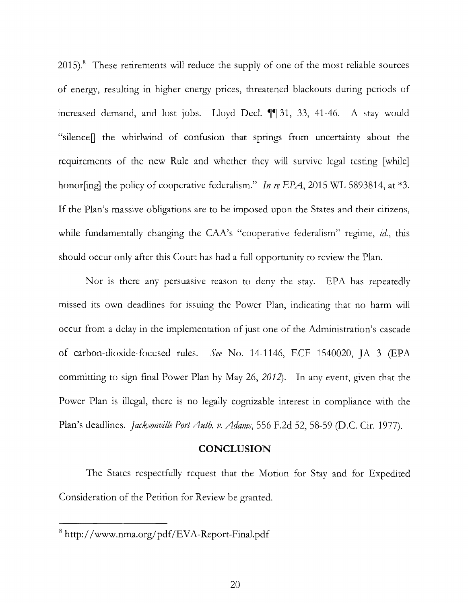2015).<sup>8</sup> These retirements will reduce the supply of one of the most reliable sources of energy, resulting in higher energy prices, threatened blackouts during periods of increased demand, and lost jobs. Lloyd Decl. **11** 31, 33, 41-46. A stay would "silence] the whirlwind of confusion that springs from uncertainty about the requirements of the new Rule and whether they will survive legal testing [while] honor[ing] the policy of cooperative federalism." *In re EPA,* 2015 WL 5893814, at \*3. If the Plan's massive obligations are to be imposed upon the States and their citizens, while fundamentally changing the CAA's "cooperative federalism" regime, *id.,* this should occur only after this Court has had a full opportunity to review the Plan.

Nor is there any persuasive reason to deny the stay. EPA has repeatedly missed its own deadlines for issuing the Power Plan, indicating that no harm will occur from a delay in the implementation of just one of the Administration's cascade of carbon-dioxide-focused rules. *See* No. 14-1146, ECF 1540020, ]A 3 (EPA committing to sign final Power Plan by May 26, 2012). In any event, given that the Power Plan is illegal, there is no legally cognizable interest in compliance with the Plan's deadlines. *jacksonville Port Auth. v. Adams,* 556 F.2d 52, 58-59 (D.C. Cir. 1977).

#### **CONCLUSION**

The States respectfully request that the Motion for Stay and for Expedited Consideration of the Petition for Review be granted.

<sup>8</sup>**http:/** /www.nma.org/pdf/EVA-Report-Final.pdf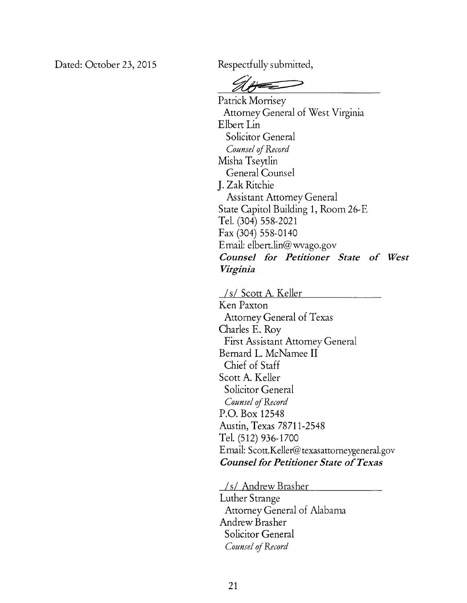Dated: October 23, 2015 Respectfully submitted,

 $\mathscr{A}\mathscr{B}$ 

Patrick Morrisey Attorney General of West Virginia Elbert Lin Solicitor General *Counsel* of *Record*  Misha Tseytlin General Counsel J. Zak Ritchie Assistant Attorney General State Capitol Building 1, Room 26-E Tel. (304) 558-2021 Fax (304) 558-0140 Email: elbert.lin@wvago.gov *Counsel for Petitioner State of West Virginia* 

*Is!* Scott A. Keller Ken Paxton Attorney General of Texas Charles E. Roy First Assistant Attorney General Bernard L. McNamee II Chief of Staff Scott A. Keller Solicitor General *Counsel* of *Record*  P.O. Box 12548 Austin, Texas 78711-2548 Tel. (512) 936-1700 Email: Scott.Keller@ texasattorneygeneral.gov *Counsel for Petitioner State of Texas* 

*Is!* Andrew Brasher

Luther Strange Attorney General of Alabama Andrew Brasher Solicitor General *Counsel* of *Record*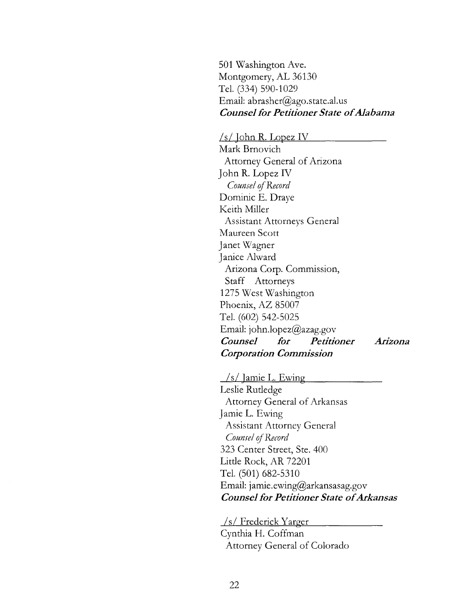501 Washington Ave. Montgomery, AL 36130 Tel. (334) 590-1029 Email: abrasher@ago.state.al.us *Counsel for Petitioner State of Alabama* 

*Is/* John **R.** Lopez IV Mark Brnovich Attorney General of Arizona John R. Lopez IV *Counsel* if *Record*  Dominic E. Draye Keith Miller Assistant Attorneys General Maureen Scott Janet Wagner Janice Alward Arizona Corp. Commission, Staff Attorneys 1275 West Washington Phoenix, AZ 85007 Tel. (602) 542-5025 Email: john.lopez@azag.gov *Counsel for Petitioner Corporation Commission Arizona* 

*Is/* Jamie L. Ewing Leslie Rutledge Attorney General of Arkansas Jamie L. Ewing Assistant Attorney General *Coumel qf Record*  323 Center Street, Ste. 400 Little Rock, AR 72201 Tel. (501) 682-5310 Email: jamie.ewing@arkansasag.gov *Counsel for Petitioner State of Arkansas* 

*Is!* Frederick Yarger Cynthia H. Coffman Attorney General of Colorado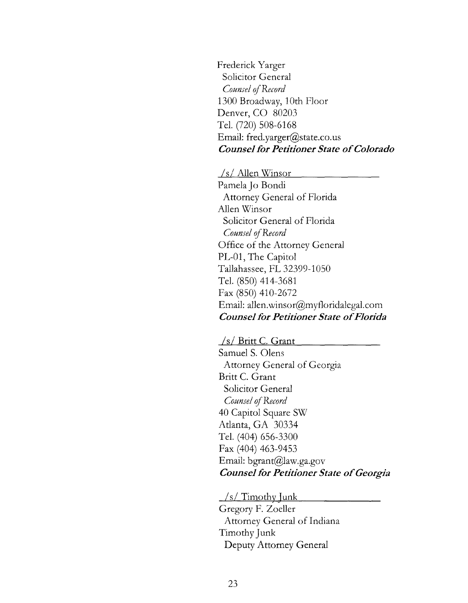Frederick Yarger Solicitor General Counsel of Record 1300 Broadway, 1Oth Floor Denver, CO 80203 Tel. (720) 508-6168 Email: fred.yarger@state.co.us *Counsel for Petitioner State of Colorado* 

*Is/* Allen Winsor

Pamela Jo Bondi Attorney General of Florida Allen Winsor Solicitor General of Florida Counsel of Record Office of the Attorney General PL-01, The Capitol Tallahassee, FL 32399-1050 Tel. (850) 414-3681 Fax (850) 410-2672 Email: allen.winsor@myfloridalegal.com *Counsel for Petitioner State of Florida* 

*Is/* Britt C. Grant

Samuel S. Olens Attorney General of Georgia Britt C. Grant Solicitor General *Counsel* of *Record*  40 Capitol Square SW Atlanta, GA 30334 Tel. (404) 656-3300 Fax (404) 463-9453 Email: bgrant@law.ga.gov *Counsel for Petitioner State of Georgia* 

*Is*/Timothy Junk

Gregory F. Zoeller Attorney General of Indiana Timothy Junk Deputy Attorney General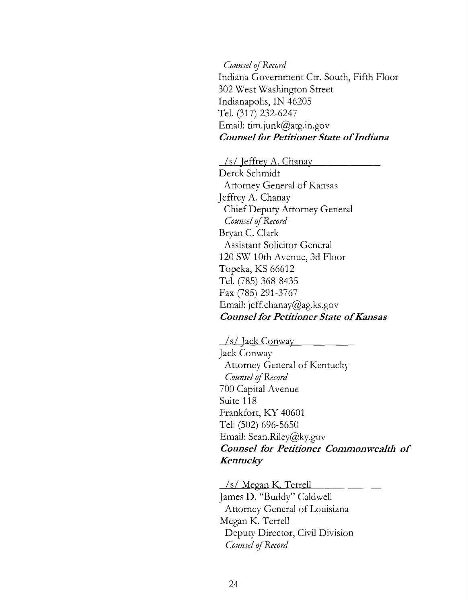*Counsel qfRecord*  Indiana Government Ctr. South, Fifth Floor 302 West Washington Street Indianapolis, IN 46205 Tel. (317) 232-6247 Email: tim.junk@atg.in.gov *Counsel for Petitioner State of Indiana* 

*Is!* Jeffrey A. Chanay

Derek Schmidt Attorney General of Kansas Jeffrey A. Chanay Chief Deputy Attorney General *Counsel* of *Record*  Bryan C. Clark Assistant Solicitor General 120 SW 1Oth Avenue, 3d Floor Topeka, KS 66612 Tel. (785) 368-8435 Fax (785) 291-3767 Email: jeff.chanay@ag.ks.gov *Counsel for Petitioner State of Kansas* 

*Is!* Jack Conway Jack Conway Attorney General of Kentucky *Counsel qfRecord*  700 Capital Avenue Suite 118 Frankfort, KY 40601 Tel: (502) 696-5650 Email: Sean.Riley@ky.gov *Counsel for Petitioner Commonwealth of Kentucky* 

*Is* / Megan K. Terrell James **D.** "Buddy" Caldwell Attorney General of Louisiana Megan K. Terrell Deputy Director, Civil Division *Counsel* of *Record*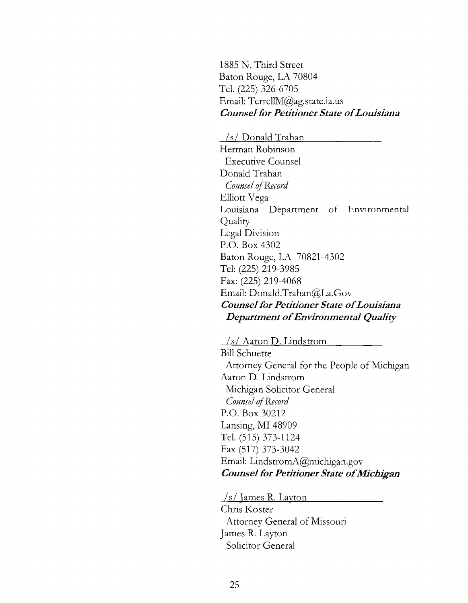1885 N. Third Street Baton Rouge, LA 70804 Tel. (225) 326-6705 Email: TerrellM@ag.state.la.us *Counsel for Petitioner State of Louisiana* 

*Is!* Donald Trahan Herman Robinson Executive Counsel Donald Trahan *Counsel of Record* Elliott Vega Louisiana Department of Environmental Quality Legal Division P.O. Box 4302 Baton Rouge, LA 70821-4302 Tel: (225) 219-3985 Fax: (225) 219-4068 Email: Donald.Trahan@La. Gov *Counsel for Petitioner State of Louisiana Department of Environmental Quality* 

*Is/* Aaron D. Lindstrom Bill Schuette Attorney General for the People of Michigan Aaron **D.** Lindstrom Michigan Solicitor General *Counsel* if *Record*  P.O. Box 30212 Lansing, MI 48909 Tel. (515) 373-1124 Fax (517) 373-3042 Email: LindstromA@michigan.gov *Counsel for Petitioner State of Michigan* 

*Is/* James R. Layton Chris Koster Attorney General of Missouri James R. Layton Solicitor General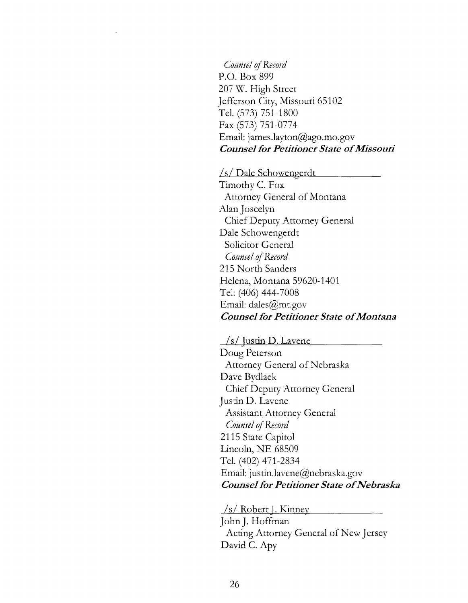*Counsel* qf *Record*  P.O. Box 899 207 W. High Street Jefferson City, Missouri 65102 Tel. (573) 751-1800 Fax (573) 751-0774 Email: james.layton@ago.mo.gov *Counsel for Petitioner State of Missouri* 

*Is/* Dale Schowengerdt

Timothy C. Fox Attorney General of Montana Alan Joscelyn Chief Deputy Attorney General Dale Schowengerdt Solicitor General *Counsel* qf *Record*  215 North Sanders Helena, Montana 59620-1401 Tel: (406) 444-7008 Email: dales@mt.gov *Counsel for Petitioner State of Montana* 

*Is I* Justin **D.** Lavene Doug Peterson Attorney General of Nebraska Dave Bydlaek Chief Deputy Attorney General Justin D. Lavene Assistant Attorney General *Counsel of Record* 2115 State Capitol Lincoln, NE 68509 Tel. (402) 471-2834 Email: justin.lavene@nebraska.gov *Counsel for Petitioner State of Nebraska* 

*Is/* Robert J. Kinney John **J.** Hoffman Acting Attorney General of New Jersey David C. Apy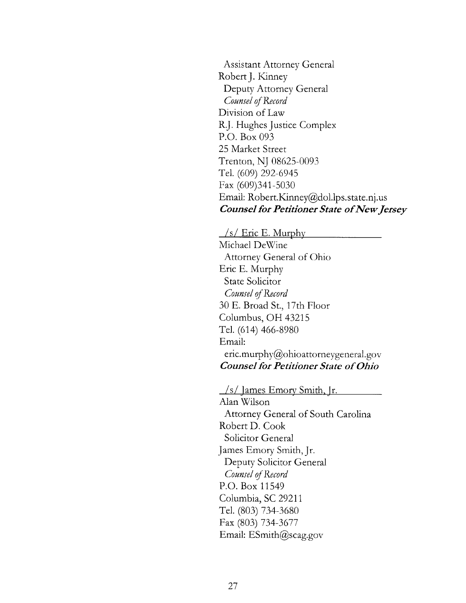Assistant Attorney General Robert J. Kinney Deputy Attorney General *Counsel of Record* Division of Law R.J. Hughes Justice Complex P.O. Box 093 25 Market Street Trenton, NJ 08625-0093 Tel. (609) 292-6945 Fax (609)341-5030 Email: Robert.Kinney@dol.lps.state.nj.us *Counsel for Petitioner State of New Jersey* 

*Is/* Eric E. Murphy Michael DeWine Attorney General of Ohio Eric E. Murphy State Solicitor *Counsel of Record* 30 E. Broad St., 17th Floor Columbus, OH 43215 Tel. (614) 466-8980 Email: eric.murphy@ohioattorneygeneral.gov *Counsel for Petitioner State of Ohio* 

/s/ James Emory Smith, Jr. Alan Wilson Attorney General of South Carolina Robert D. Cook Solicitor General James Emory Smith, Jr. Deputy Solicitor General *Counsel of Record* P.O. Box 11549 Columbia, SC 29211 Tel. (803) 734-3680 Fax (803) 734-3677 Email: ESmith@scag.gov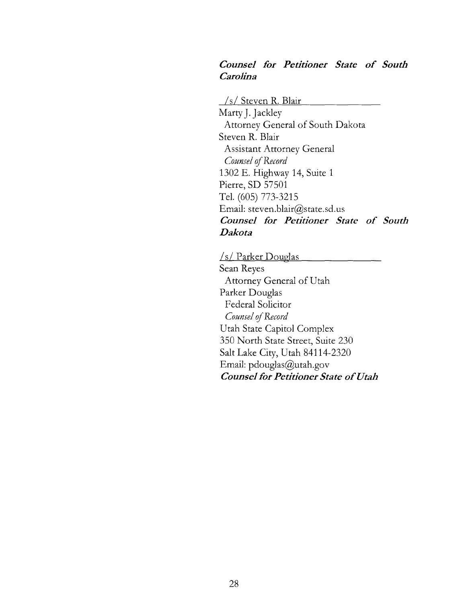# *Counsel for Petitioner State of South Carolina*

*Is/* Steven R. Blair

Marty J. Jackley Attorney General of South Dakota Steven R. Blair Assistant Attorney General *Counsel of Record* 1302 E. Highway 14, Suite 1 Pierre, SD 57501 Tel. (605) 773-3215 Email: steven.blair@state.sd.us *Counsel for Petitioner State of South Dakota* 

*Is!* Parker Douglas Sean Reyes Attorney General of Utah Parker Douglas Federal Solicitor *Counsel of Record* Utah State Capitol Complex 350 North State Street, Suite 230 Salt Lake *City,* Utah 84114-2320 Email: pdouglas@utah.gov *Counsel for Petitioner State of Utah*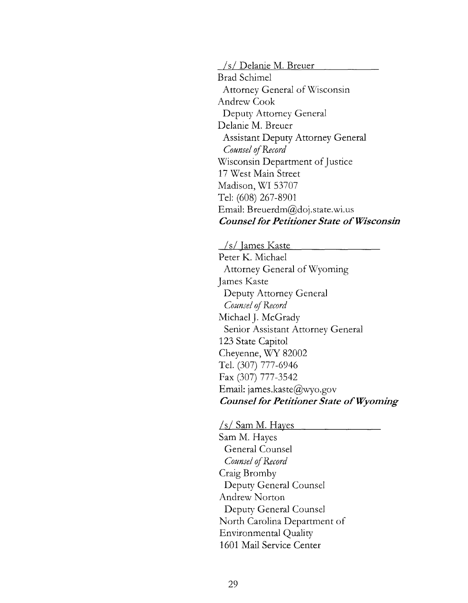*Is/* Delanie M. Breuer

Brad Schimel Attorney General of Wisconsin Andrew Cook Deputy Attorney General Delanie M. Breuer Assistant Deputy Attorney General *Counsel of Record* Wisconsin Department of Justice 17 West Main Street Madison, WI 53707 Tel: (608) 267-8901 Email: Breuerdm@doj.state.wi.us *Counsel for Petitioner State of Wisconsin* 

*Is/* Tames Kaste - Peter K. Michael Attorney General of Wyoming James Kaste Deputy Attorney General *Counsel of Record* Michael J. McGrady Senior Assistant Attorney General 123 State Capitol Cheyenne, WY 82002 Tel. (307) 777-6946 Fax (307) 777-3542 Email: james.kaste@wyo.gov *Counsel for Petitioner State of Wyoming* 

*Is!* Sam M. Hayes Sam M. Hayes General Counsel *Counsel of Record* Craig Bromby Deputy General Counsel Andrew Norton Deputy General Counsel North Carolina Department of Environmental Quality 1601 Mail Service Center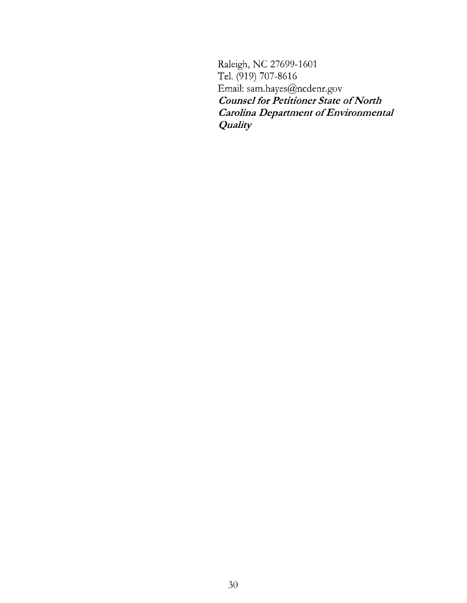Raleigh, NC 27699-1601 Tel. (919) 707-8616 Email: sam.hayes@ncdenr.gov *Counsel for Petitioner State of North Carolina Department of Environmental Quality*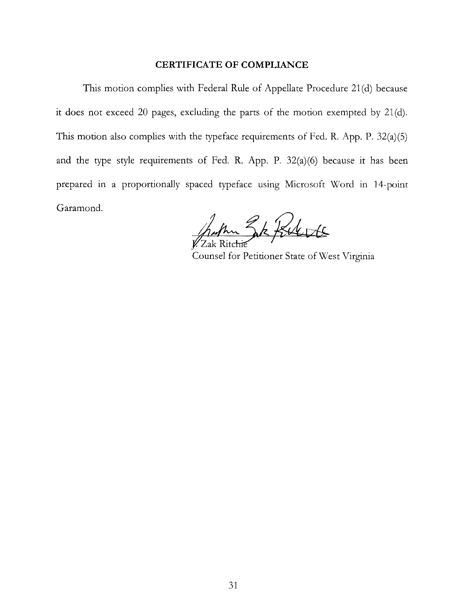#### **CERTIFICATE OF COMPLIANCE**

This motion complies with Federal Rule of Appellate Procedure 21 (d) because it does not exceed 20 pages, excluding the parts of the motion exempted by 21 (d). This motion also complies with the typeface requirements of Fed. R. App. P. 32(a)(S) and the type style requirements of Fed. R. App. P.  $32(a)(6)$  because it has been prepared in a proportionally spaced typeface using Microsoft Word in 14-point Garamond.

hum Zk Kilote

Counsel for Petitioner State of West Virginia